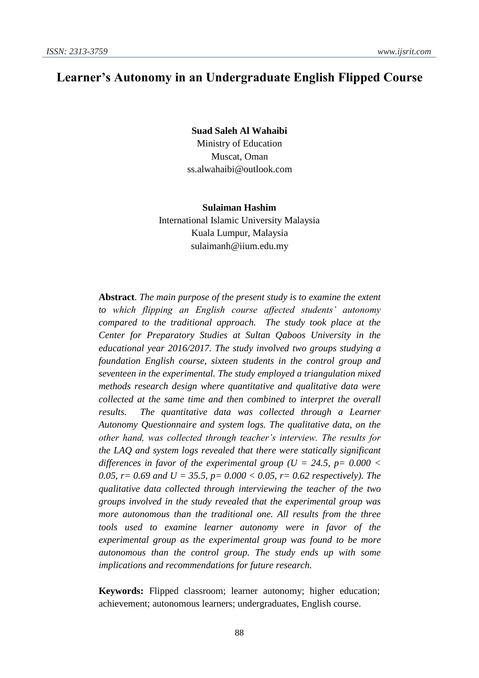# **Learner's Autonomy in an Undergraduate English Flipped Course**

**Suad Saleh Al Wahaibi** Ministry of Education Muscat, Oman [ss.alwahaibi@outlook.com](mailto:ss.alwahaibi@outlook.com)

**Sulaiman Hashim** International Islamic University Malaysia Kuala Lumpur, Malaysia [sulaimanh@iium.edu.my](mailto:sulaimanh@iium.edu.my)

**Abstract**. *The main purpose of the present study is to examine the extent to which flipping an English course affected students' autonomy compared to the traditional approach. The study took place at the Center for Preparatory Studies at Sultan Qaboos University in the educational year 2016/2017. The study involved two groups studying a foundation English course, sixteen students in the control group and seventeen in the experimental. The study employed a triangulation mixed methods research design where quantitative and qualitative data were collected at the same time and then combined to interpret the overall results. The quantitative data was collected through a Learner Autonomy Questionnaire and system logs. The qualitative data, on the other hand, was collected through teacher's interview. The results for the LAQ and system logs revealed that there were statically significant differences in favor of the experimental group*  $(U = 24.5, p = 0.000$  < *0.05, r* = 0.69 and *U* = 35.5, *p* = 0.000  $<$  0.05, *r* = 0.62 *respectively*). The *qualitative data collected through interviewing the teacher of the two groups involved in the study revealed that the experimental group was more autonomous than the traditional one. All results from the three tools used to examine learner autonomy were in favor of the experimental group as the experimental group was found to be more autonomous than the control group. The study ends up with some implications and recommendations for future research.*

**Keywords:** Flipped classroom; learner autonomy; higher education; achievement; autonomous learners; undergraduates, English course.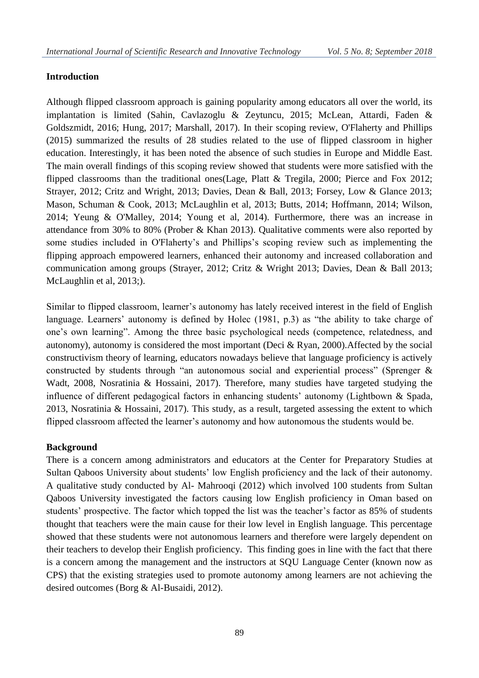# **Introduction**

Although flipped classroom approach is gaining popularity among educators all over the world, its implantation is limited (Sahin, Cavlazoglu & Zeytuncu, 2015; McLean, Attardi, Faden & Goldszmidt, 2016; Hung, 2017; Marshall, 2017). In their scoping review, O'Flaherty and Phillips (2015) summarized the results of 28 studies related to the use of flipped classroom in higher education. Interestingly, it has been noted the absence of such studies in Europe and Middle East. The main overall findings of this scoping review showed that students were more satisfied with the flipped classrooms than the traditional ones(Lage, Platt & Tregila, 2000; Pierce and Fox 2012; Strayer, 2012; Critz and Wright, 2013; Davies, Dean & Ball, 2013; Forsey, Low & Glance 2013; Mason, Schuman & Cook, 2013; McLaughlin et al, 2013; Butts, 2014; Hoffmann, 2014; Wilson, 2014; Yeung & O'Malley, 2014; Young et al, 2014). Furthermore, there was an increase in attendance from 30% to 80% (Prober & Khan 2013). Qualitative comments were also reported by some studies included in O'Flaherty's and Phillips's scoping review such as implementing the flipping approach empowered learners, enhanced their autonomy and increased collaboration and communication among groups (Strayer, 2012; Critz & Wright 2013; Davies, Dean & Ball 2013; McLaughlin et al, 2013;).

Similar to flipped classroom, learner's autonomy has lately received interest in the field of English language. Learners' autonomy is defined by Holec (1981, p.3) as "the ability to take charge of one's own learning". Among the three basic psychological needs (competence, relatedness, and autonomy), autonomy is considered the most important (Deci & Ryan, 2000).Affected by the social constructivism theory of learning, educators nowadays believe that language proficiency is actively constructed by students through "an autonomous social and experiential process" (Sprenger & Wadt, 2008, Nosratinia & Hossaini, 2017). Therefore, many studies have targeted studying the influence of different pedagogical factors in enhancing students' autonomy (Lightbown & Spada, 2013, Nosratinia & Hossaini, 2017). This study, as a result, targeted assessing the extent to which flipped classroom affected the learner's autonomy and how autonomous the students would be.

# **Background**

There is a concern among administrators and educators at the Center for Preparatory Studies at Sultan Qaboos University about students' low English proficiency and the lack of their autonomy. A qualitative study conducted by Al- Mahrooqi (2012) which involved 100 students from Sultan Qaboos University investigated the factors causing low English proficiency in Oman based on students' prospective. The factor which topped the list was the teacher's factor as 85% of students thought that teachers were the main cause for their low level in English language. This percentage showed that these students were not autonomous learners and therefore were largely dependent on their teachers to develop their English proficiency. This finding goes in line with the fact that there is a concern among the management and the instructors at SQU Language Center (known now as CPS) that the existing strategies used to promote autonomy among learners are not achieving the desired outcomes (Borg & Al-Busaidi, 2012).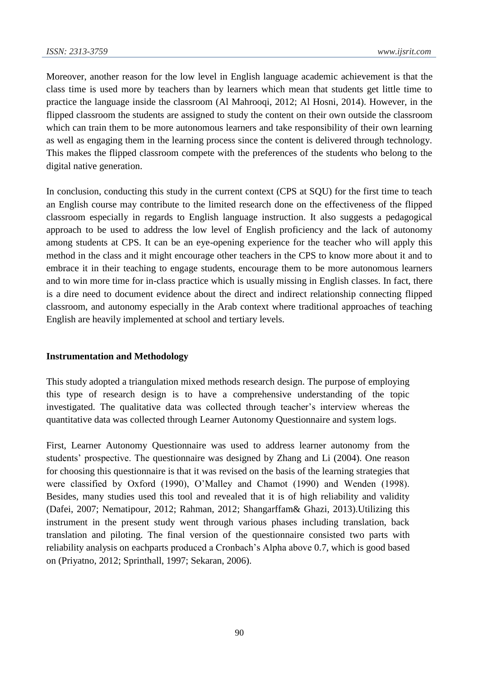Moreover, another reason for the low level in English language academic achievement is that the class time is used more by teachers than by learners which mean that students get little time to practice the language inside the classroom (Al Mahrooqi, 2012; Al Hosni, 2014). However, in the flipped classroom the students are assigned to study the content on their own outside the classroom which can train them to be more autonomous learners and take responsibility of their own learning as well as engaging them in the learning process since the content is delivered through technology. This makes the flipped classroom compete with the preferences of the students who belong to the digital native generation.

In conclusion, conducting this study in the current context (CPS at SQU) for the first time to teach an English course may contribute to the limited research done on the effectiveness of the flipped classroom especially in regards to English language instruction. It also suggests a pedagogical approach to be used to address the low level of English proficiency and the lack of autonomy among students at CPS. It can be an eye-opening experience for the teacher who will apply this method in the class and it might encourage other teachers in the CPS to know more about it and to embrace it in their teaching to engage students, encourage them to be more autonomous learners and to win more time for in-class practice which is usually missing in English classes. In fact, there is a dire need to document evidence about the direct and indirect relationship connecting flipped classroom, and autonomy especially in the Arab context where traditional approaches of teaching English are heavily implemented at school and tertiary levels.

#### **Instrumentation and Methodology**

This study adopted a triangulation mixed methods research design. The purpose of employing this type of research design is to have a comprehensive understanding of the topic investigated. The qualitative data was collected through teacher's interview whereas the quantitative data was collected through Learner Autonomy Questionnaire and system logs.

First, Learner Autonomy Questionnaire was used to address learner autonomy from the students' prospective. The questionnaire was designed by Zhang and Li (2004). One reason for choosing this questionnaire is that it was revised on the basis of the learning strategies that were classified by Oxford (1990), O'Malley and Chamot (1990) and Wenden (1998). Besides, many studies used this tool and revealed that it is of high reliability and validity (Dafei, 2007; Nematipour, 2012; Rahman, 2012; Shangarffam& Ghazi, 2013).Utilizing this instrument in the present study went through various phases including translation, back translation and piloting. The final version of the questionnaire consisted two parts with reliability analysis on eachparts produced a Cronbach's Alpha above 0.7, which is good based on (Priyatno, 2012; Sprinthall, 1997; Sekaran, 2006).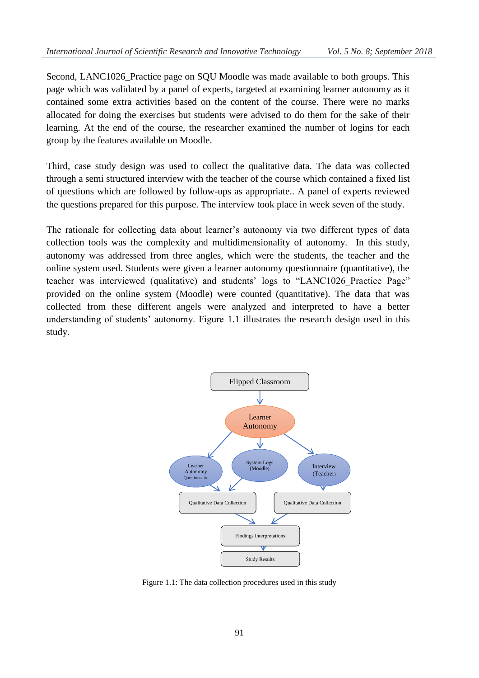Second, LANC1026 Practice page on SQU Moodle was made available to both groups. This page which was validated by a panel of experts, targeted at examining learner autonomy as it contained some extra activities based on the content of the course. There were no marks allocated for doing the exercises but students were advised to do them for the sake of their learning. At the end of the course, the researcher examined the number of logins for each group by the features available on Moodle.

Third, case study design was used to collect the qualitative data. The data was collected through a semi structured interview with the teacher of the course which contained a fixed list of questions which are followed by follow-ups as appropriate.. A panel of experts reviewed the questions prepared for this purpose. The interview took place in week seven of the study.

The rationale for collecting data about learner's autonomy via two different types of data collection tools was the complexity and multidimensionality of autonomy. In this study, autonomy was addressed from three angles, which were the students, the teacher and the online system used. Students were given a learner autonomy questionnaire (quantitative), the teacher was interviewed (qualitative) and students' logs to "LANC1026\_Practice Page" provided on the online system (Moodle) were counted (quantitative). The data that was collected from these different angels were analyzed and interpreted to have a better understanding of students' autonomy. Figure 1.1 illustrates the research design used in this study.



Figure 1.1: The data collection procedures used in this study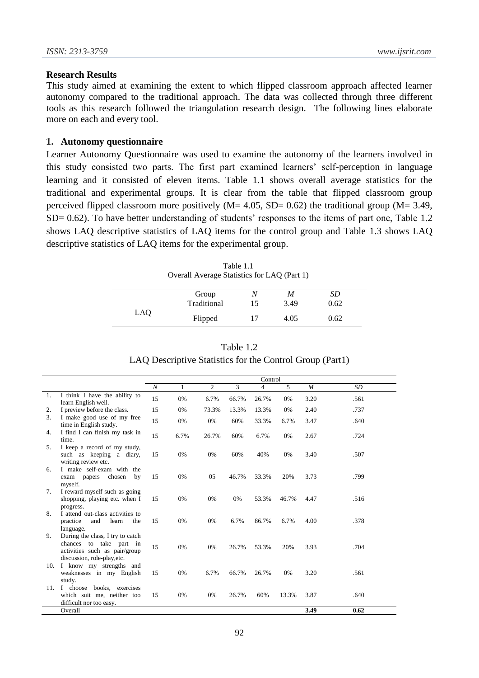#### **Research Results**

This study aimed at examining the extent to which flipped classroom approach affected learner autonomy compared to the traditional approach. The data was collected through three different tools as this research followed the triangulation research design. The following lines elaborate more on each and every tool.

#### **1. Autonomy questionnaire**

Learner Autonomy Questionnaire was used to examine the autonomy of the learners involved in this study consisted two parts. The first part examined learners' self-perception in language learning and it consisted of eleven items. Table 1.1 shows overall average statistics for the traditional and experimental groups. It is clear from the table that flipped classroom group perceived flipped classroom more positively  $(M= 4.05, SD= 0.62)$  the traditional group  $(M= 3.49,$ SD= 0.62). To have better understanding of students' responses to the items of part one, Table 1.2 shows LAQ descriptive statistics of LAQ items for the control group and Table 1.3 shows LAQ descriptive statistics of LAQ items for the experimental group.

|     | Group       | Λ  | M    | SD   |  |
|-----|-------------|----|------|------|--|
|     | Traditional | 15 | 3.49 | 0.62 |  |
| LAQ | Flipped     | 17 | 4.05 | 0.62 |  |

| Table 1.1                                   |
|---------------------------------------------|
| Overall Average Statistics for LAQ (Part 1) |

| Table 1.2                                                |
|----------------------------------------------------------|
| LAQ Descriptive Statistics for the Control Group (Part1) |

|     |                                                                                                                             | Control          |              |                |       |       |       |                  |           |
|-----|-----------------------------------------------------------------------------------------------------------------------------|------------------|--------------|----------------|-------|-------|-------|------------------|-----------|
|     |                                                                                                                             | $\boldsymbol{N}$ | $\mathbf{1}$ | $\overline{c}$ | 3     | 4     | 5     | $\boldsymbol{M}$ | <b>SD</b> |
| 1.  | I think I have the ability to<br>learn English well.                                                                        | 15               | 0%           | 6.7%           | 66.7% | 26.7% | 0%    | 3.20             | .561      |
| 2.  | I preview before the class.                                                                                                 | 15               | 0%           | 73.3%          | 13.3% | 13.3% | 0%    | 2.40             | .737      |
| 3.  | I make good use of my free<br>time in English study.                                                                        | 15               | 0%           | 0%             | 60%   | 33.3% | 6.7%  | 3.47             | .640      |
| 4.  | I find I can finish my task in<br>time.                                                                                     | 15               | 6.7%         | 26.7%          | 60%   | 6.7%  | 0%    | 2.67             | .724      |
| 5.  | I keep a record of my study,<br>such as keeping a diary,<br>writing review etc.                                             | 15               | 0%           | 0%             | 60%   | 40%   | 0%    | 3.40             | .507      |
| 6.  | I make self-exam with the<br>chosen<br>by<br>exam papers<br>myself.                                                         | 15               | 0%           | 05             | 46.7% | 33.3% | 20%   | 3.73             | .799      |
| 7.  | I reward myself such as going<br>shopping, playing etc. when I<br>progress.                                                 | 15               | 0%           | 0%             | 0%    | 53.3% | 46.7% | 4.47             | .516      |
| 8.  | I attend out-class activities to<br>practice<br>and<br>learn<br>the<br>language.                                            | 15               | 0%           | 0%             | 6.7%  | 86.7% | 6.7%  | 4.00             | .378      |
| 9.  | During the class, I try to catch<br>chances to take part in<br>activities such as pair/group<br>discussion, role-play, etc. | 15               | 0%           | 0%             | 26.7% | 53.3% | 20%   | 3.93             | .704      |
| 10. | I know my strengths and<br>weaknesses in my English<br>study.                                                               | 15               | 0%           | 6.7%           | 66.7% | 26.7% | 0%    | 3.20             | .561      |
| 11. | I choose books, exercises<br>which suit me, neither too<br>difficult nor too easy.                                          | 15               | 0%           | 0%             | 26.7% | 60%   | 13.3% | 3.87             | .640      |
|     | Overall                                                                                                                     |                  |              |                |       |       |       | 3.49             | 0.62      |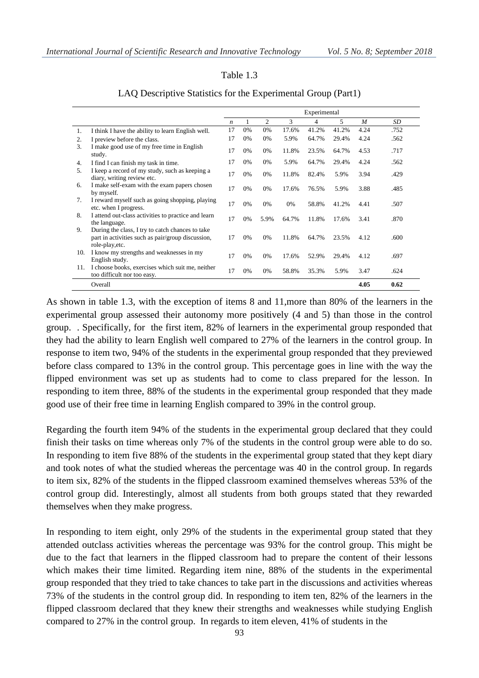#### Table 1.3

|     |                                                                                                                          | Experimental     |    |      |       |       |       |      |      |
|-----|--------------------------------------------------------------------------------------------------------------------------|------------------|----|------|-------|-------|-------|------|------|
|     |                                                                                                                          | $\boldsymbol{n}$ | 1  | 2    | 3     | 4     | 5     | M    | SD   |
| 1.  | I think I have the ability to learn English well.                                                                        | 17               | 0% | 0%   | 17.6% | 41.2% | 41.2% | 4.24 | .752 |
| 2.  | I preview before the class.                                                                                              | 17               | 0% | 0%   | 5.9%  | 64.7% | 29.4% | 4.24 | .562 |
| 3.  | I make good use of my free time in English<br>study.                                                                     | 17               | 0% | 0%   | 11.8% | 23.5% | 64.7% | 4.53 | .717 |
| 4.  | I find I can finish my task in time.                                                                                     | 17               | 0% | 0%   | 5.9%  | 64.7% | 29.4% | 4.24 | .562 |
| 5.  | I keep a record of my study, such as keeping a<br>diary, writing review etc.                                             | 17               | 0% | 0%   | 11.8% | 82.4% | 5.9%  | 3.94 | .429 |
| 6.  | I make self-exam with the exam papers chosen<br>by myself.                                                               | 17               | 0% | 0%   | 17.6% | 76.5% | 5.9%  | 3.88 | .485 |
| 7.  | I reward myself such as going shopping, playing<br>etc. when I progress.                                                 | 17               | 0% | 0%   | 0%    | 58.8% | 41.2% | 4.41 | .507 |
| 8.  | I attend out-class activities to practice and learn<br>the language.                                                     | 17               | 0% | 5.9% | 64.7% | 11.8% | 17.6% | 3.41 | .870 |
| 9.  | During the class, I try to catch chances to take<br>part in activities such as pair/group discussion,<br>role-play, etc. | 17               | 0% | 0%   | 11.8% | 64.7% | 23.5% | 4.12 | .600 |
| 10. | I know my strengths and weaknesses in my<br>English study.                                                               | 17               | 0% | 0%   | 17.6% | 52.9% | 29.4% | 4.12 | .697 |
| 11. | I choose books, exercises which suit me, neither<br>too difficult nor too easy.                                          | 17               | 0% | 0%   | 58.8% | 35.3% | 5.9%  | 3.47 | .624 |
|     | Overall                                                                                                                  |                  |    |      |       |       |       | 4.05 | 0.62 |

#### LAQ Descriptive Statistics for the Experimental Group (Part1)

As shown in table 1.3, with the exception of items 8 and 11,more than 80% of the learners in the experimental group assessed their autonomy more positively (4 and 5) than those in the control group. . Specifically, for the first item, 82% of learners in the experimental group responded that they had the ability to learn English well compared to 27% of the learners in the control group. In response to item two, 94% of the students in the experimental group responded that they previewed before class compared to 13% in the control group. This percentage goes in line with the way the flipped environment was set up as students had to come to class prepared for the lesson. In responding to item three, 88% of the students in the experimental group responded that they made good use of their free time in learning English compared to 39% in the control group.

Regarding the fourth item 94% of the students in the experimental group declared that they could finish their tasks on time whereas only 7% of the students in the control group were able to do so. In responding to item five 88% of the students in the experimental group stated that they kept diary and took notes of what the studied whereas the percentage was 40 in the control group. In regards to item six, 82% of the students in the flipped classroom examined themselves whereas 53% of the control group did. Interestingly, almost all students from both groups stated that they rewarded themselves when they make progress.

In responding to item eight, only 29% of the students in the experimental group stated that they attended outclass activities whereas the percentage was 93% for the control group. This might be due to the fact that learners in the flipped classroom had to prepare the content of their lessons which makes their time limited. Regarding item nine, 88% of the students in the experimental group responded that they tried to take chances to take part in the discussions and activities whereas 73% of the students in the control group did. In responding to item ten, 82% of the learners in the flipped classroom declared that they knew their strengths and weaknesses while studying English compared to 27% in the control group. In regards to item eleven, 41% of students in the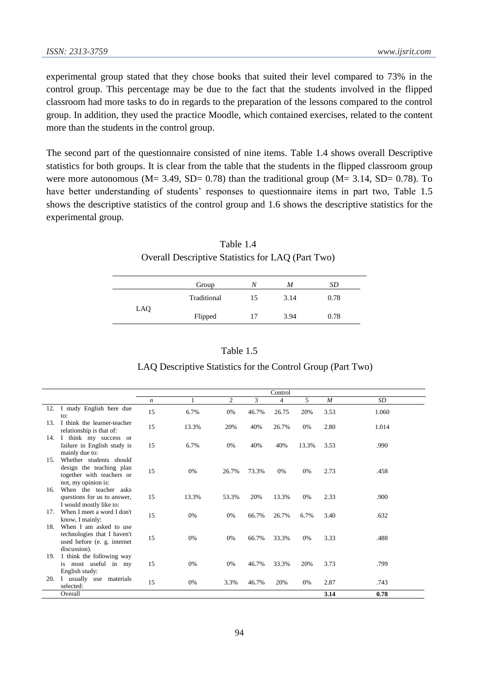experimental group stated that they chose books that suited their level compared to 73% in the control group. This percentage may be due to the fact that the students involved in the flipped classroom had more tasks to do in regards to the preparation of the lessons compared to the control group. In addition, they used the practice Moodle, which contained exercises, related to the content more than the students in the control group.

The second part of the questionnaire consisted of nine items. Table 1.4 shows overall Descriptive statistics for both groups. It is clear from the table that the students in the flipped classroom group were more autonomous ( $M = 3.49$ ,  $SD = 0.78$ ) than the traditional group ( $M = 3.14$ ,  $SD = 0.78$ ). To have better understanding of students' responses to questionnaire items in part two, Table 1.5 shows the descriptive statistics of the control group and 1.6 shows the descriptive statistics for the experimental group.

| Table 1.4                                         |
|---------------------------------------------------|
| Overall Descriptive Statistics for LAQ (Part Two) |

|     | Group       | Ν  | M    | SD   |  |
|-----|-------------|----|------|------|--|
|     | Traditional | 15 | 3.14 | 0.78 |  |
| LAQ | Flipped     | 17 | 3.94 | 0.78 |  |

| . . | Flipped | 17        | 3.94 | 0.78 |  |
|-----|---------|-----------|------|------|--|
|     |         |           |      |      |  |
|     |         | Table 1.5 |      |      |  |

#### LAQ Descriptive Statistics for the Control Group (Part Two)

|                 |                                                                                                         | Control          |       |       |       |       |       |      |       |
|-----------------|---------------------------------------------------------------------------------------------------------|------------------|-------|-------|-------|-------|-------|------|-------|
|                 |                                                                                                         | $\boldsymbol{n}$ |       | 2     | 3     | 4     | 5     | M    | SD    |
| 12.             | I study English here due<br>to:                                                                         | 15               | 6.7%  | 0%    | 46.7% | 26.75 | 20%   | 3.53 | 1.060 |
| 13.             | I think the learner-teacher<br>relationship is that of:                                                 | 15               | 13.3% | 20%   | 40%   | 26.7% | 0%    | 2.80 | 1.014 |
|                 | 14. I think my success or<br>failure in English study is<br>mainly due to:                              | 15               | 6.7%  | 0%    | 40%   | 40%   | 13.3% | 3.53 | .990  |
| 15.             | Whether students should<br>design the teaching plan<br>together with teachers or<br>not, my opinion is: | 15               | 0%    | 26.7% | 73.3% | 0%    | 0%    | 2.73 | .458  |
| 16.             | When the teacher asks<br>questions for us to answer,<br>I would mostly like to:                         | 15               | 13.3% | 53.3% | 20%   | 13.3% | 0%    | 2.33 | .900  |
| 17 <sub>1</sub> | When I meet a word I don't<br>know, I mainly:                                                           | 15               | 0%    | 0%    | 66.7% | 26.7% | 6.7%  | 3.40 | .632  |
| 18.             | When I am asked to use<br>technologies that I haven't<br>used before (e. g. internet<br>discussion).    | 15               | 0%    | 0%    | 66.7% | 33.3% | 0%    | 3.33 | .488  |
| 19.             | 1 think the following way<br>is most useful in my<br>English study:                                     | 15               | 0%    | 0%    | 46.7% | 33.3% | 20%   | 3.73 | .799  |
| 20.             | I usually use<br>materials<br>selected:                                                                 | 15               | 0%    | 3.3%  | 46.7% | 20%   | 0%    | 2.87 | .743  |
|                 | Overall                                                                                                 |                  |       |       |       |       |       | 3.14 | 0.78  |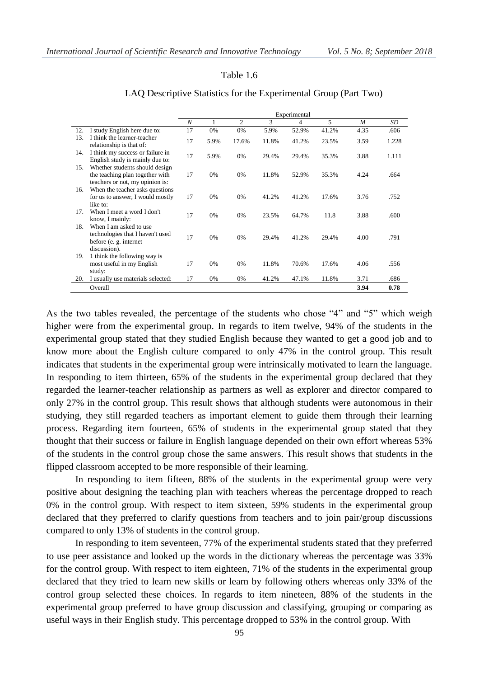#### Table 1.6

|     |                                                                                                      |                  |       |       |       | Experimental |       |      |       |
|-----|------------------------------------------------------------------------------------------------------|------------------|-------|-------|-------|--------------|-------|------|-------|
|     |                                                                                                      | $\boldsymbol{N}$ | 1     | 2     | 3     | 4            | 5     | M    | SD    |
| 12. | I study English here due to:                                                                         | 17               | 0%    | 0%    | 5.9%  | 52.9%        | 41.2% | 4.35 | .606  |
| 13. | I think the learner-teacher<br>relationship is that of:                                              | 17               | 5.9%  | 17.6% | 11.8% | 41.2%        | 23.5% | 3.59 | 1.228 |
| 14. | I think my success or failure in<br>English study is mainly due to:                                  | 17               | 5.9%  | 0%    | 29.4% | 29.4%        | 35.3% | 3.88 | 1.111 |
| 15. | Whether students should design<br>the teaching plan together with<br>teachers or not, my opinion is: | 17               | $0\%$ | 0%    | 11.8% | 52.9%        | 35.3% | 4.24 | .664  |
| 16. | When the teacher asks questions<br>for us to answer, I would mostly<br>like to:                      | 17               | 0%    | 0%    | 41.2% | 41.2%        | 17.6% | 3.76 | .752  |
| 17. | When I meet a word I don't<br>know, I mainly:                                                        | 17               | 0%    | 0%    | 23.5% | 64.7%        | 11.8  | 3.88 | .600  |
| 18. | When I am asked to use<br>technologies that I haven't used<br>before (e. g. internet<br>discussion). | 17               | 0%    | 0%    | 29.4% | 41.2%        | 29.4% | 4.00 | .791  |
| 19. | 1 think the following way is<br>most useful in my English<br>study:                                  | 17               | 0%    | 0%    | 11.8% | 70.6%        | 17.6% | 4.06 | .556  |
| 20. | I usually use materials selected:                                                                    | 17               | 0%    | 0%    | 41.2% | 47.1%        | 11.8% | 3.71 | .686  |
|     | Overall                                                                                              |                  |       |       |       |              |       | 3.94 | 0.78  |

#### LAQ Descriptive Statistics for the Experimental Group (Part Two)

As the two tables revealed, the percentage of the students who chose "4" and "5" which weigh higher were from the experimental group. In regards to item twelve, 94% of the students in the experimental group stated that they studied English because they wanted to get a good job and to know more about the English culture compared to only 47% in the control group. This result indicates that students in the experimental group were intrinsically motivated to learn the language. In responding to item thirteen, 65% of the students in the experimental group declared that they regarded the learner-teacher relationship as partners as well as explorer and director compared to only 27% in the control group. This result shows that although students were autonomous in their studying, they still regarded teachers as important element to guide them through their learning process. Regarding item fourteen, 65% of students in the experimental group stated that they thought that their success or failure in English language depended on their own effort whereas 53% of the students in the control group chose the same answers. This result shows that students in the flipped classroom accepted to be more responsible of their learning.

In responding to item fifteen, 88% of the students in the experimental group were very positive about designing the teaching plan with teachers whereas the percentage dropped to reach 0% in the control group. With respect to item sixteen, 59% students in the experimental group declared that they preferred to clarify questions from teachers and to join pair/group discussions compared to only 13% of students in the control group.

In responding to item seventeen, 77% of the experimental students stated that they preferred to use peer assistance and looked up the words in the dictionary whereas the percentage was 33% for the control group. With respect to item eighteen, 71% of the students in the experimental group declared that they tried to learn new skills or learn by following others whereas only 33% of the control group selected these choices. In regards to item nineteen, 88% of the students in the experimental group preferred to have group discussion and classifying, grouping or comparing as useful ways in their English study. This percentage dropped to 53% in the control group. With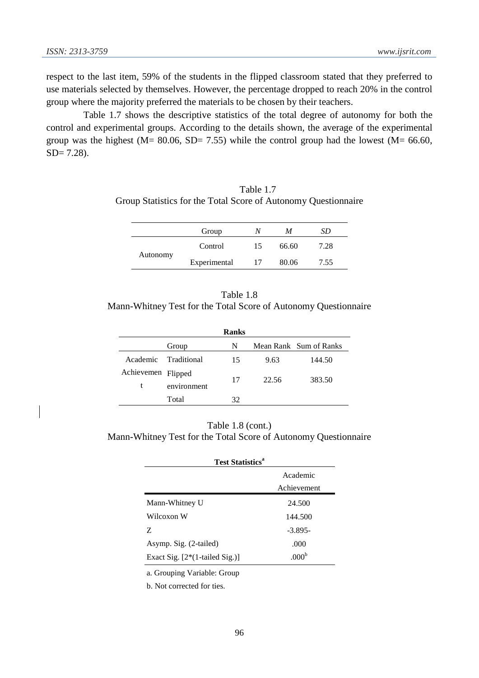respect to the last item, 59% of the students in the flipped classroom stated that they preferred to use materials selected by themselves. However, the percentage dropped to reach 20% in the control group where the majority preferred the materials to be chosen by their teachers.

Table 1.7 shows the descriptive statistics of the total degree of autonomy for both the control and experimental groups. According to the details shown, the average of the experimental group was the highest (M=  $80.06$ , SD= 7.55) while the control group had the lowest (M=  $66.60$ , SD= 7.28).

| Table 1.7                                                      |
|----------------------------------------------------------------|
| Group Statistics for the Total Score of Autonomy Questionnaire |

|          | Group        |    | M     | SD   |
|----------|--------------|----|-------|------|
| Autonomy | Control      | 15 | 66.60 | 7.28 |
|          | Experimental |    | 80.06 | 7.55 |

Table 1.8 Mann-Whitney Test for the Total Score of Autonomy Questionnaire

|                    |                      | <b>Ranks</b> |       |                        |
|--------------------|----------------------|--------------|-------|------------------------|
|                    | Group                | N            |       | Mean Rank Sum of Ranks |
|                    | Academic Traditional | 15           | 9.63  | 144.50                 |
| Achievemen Flipped |                      |              |       |                        |
| t                  | environment          | 17           | 22.56 | 383.50                 |
|                    | Total                | 32           |       |                        |

Table 1.8 (cont.) Mann-Whitney Test for the Total Score of Autonomy Questionnaire

| <b>Test Statistics<sup>a</sup></b> |                   |  |
|------------------------------------|-------------------|--|
|                                    | Academic          |  |
|                                    | Achievement       |  |
| Mann-Whitney U                     | 24.500            |  |
| Wilcoxon W                         | 144.500           |  |
| Z                                  | $-3.895-$         |  |
| Asymp. Sig. (2-tailed)             | .000              |  |
| Exact Sig. [2*(1-tailed Sig.)]     | .000 <sup>b</sup> |  |

a. Grouping Variable: Group

b. Not corrected for ties.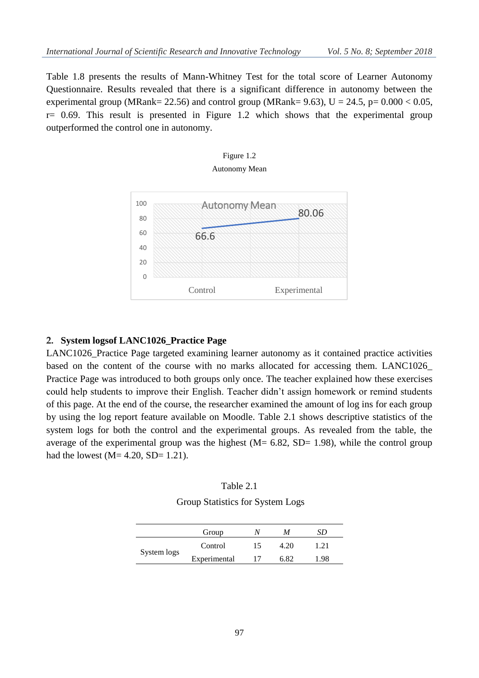Table 1.8 presents the results of Mann-Whitney Test for the total score of Learner Autonomy Questionnaire. Results revealed that there is a significant difference in autonomy between the experimental group (MRank= 22.56) and control group (MRank= 9.63),  $U = 24.5$ ,  $p= 0.000 < 0.05$ ,  $r= 0.69$ . This result is presented in Figure 1.2 which shows that the experimental group outperformed the control one in autonomy.



# Figure 1.2

#### **2. System logsof LANC1026\_Practice Page**

LANC1026\_Practice Page targeted examining learner autonomy as it contained practice activities based on the content of the course with no marks allocated for accessing them. LANC1026\_ Practice Page was introduced to both groups only once. The teacher explained how these exercises could help students to improve their English. Teacher didn't assign homework or remind students of this page. At the end of the course, the researcher examined the amount of log ins for each group by using the log report feature available on Moodle. Table 2.1 shows descriptive statistics of the system logs for both the control and the experimental groups. As revealed from the table, the average of the experimental group was the highest  $(M = 6.82, SD = 1.98)$ , while the control group had the lowest  $(M= 4.20, SD= 1.21)$ .

| Table 2. |  |
|----------|--|
|----------|--|

Group Statistics for System Logs

|             | Group        |    | M    | SĐ    |
|-------------|--------------|----|------|-------|
| System logs | Control      | 15 | 4 20 | 1.21  |
|             | Experimental |    | 682  | $-98$ |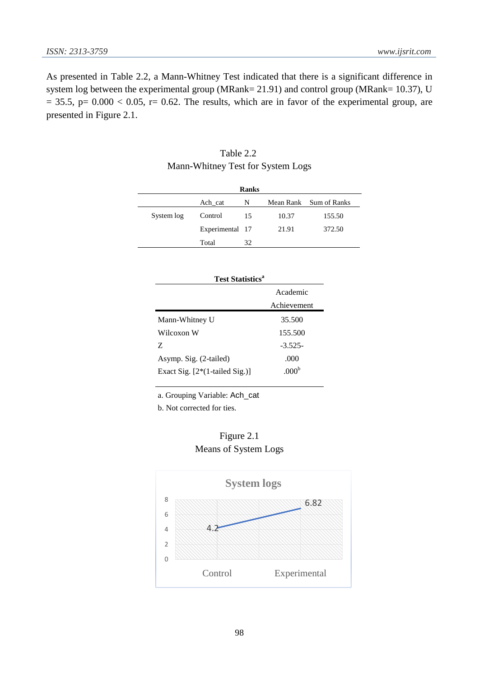As presented in Table 2.2, a Mann-Whitney Test indicated that there is a significant difference in system log between the experimental group (MRank= 21.91) and control group (MRank= 10.37), U  $= 35.5$ , p=  $0.000 < 0.05$ , r= 0.62. The results, which are in favor of the experimental group, are presented in Figure 2.1.

|            |                 | <b>Ranks</b> |       |                        |
|------------|-----------------|--------------|-------|------------------------|
|            | Ach_cat         | N            |       | Mean Rank Sum of Ranks |
| System log | Control         | 15           | 10.37 | 155.50                 |
|            | Experimental 17 |              | 21.91 | 372.50                 |
|            | Total           | 32           |       |                        |

| Table 2.2                         |  |
|-----------------------------------|--|
| Mann-Whitney Test for System Logs |  |

| <b>Test Statistics<sup>a</sup></b> |                   |  |
|------------------------------------|-------------------|--|
|                                    | Academic          |  |
|                                    | Achievement       |  |
| Mann-Whitney U                     | 35.500            |  |
| Wilcoxon W                         | 155.500           |  |
| Z                                  | $-3.525-$         |  |
| Asymp. Sig. (2-tailed)             | .000              |  |
| Exact Sig. $[2*(1-tailed Sig.)]$   | .000 <sup>b</sup> |  |

a. Grouping Variable: Ach\_cat

b. Not corrected for ties.



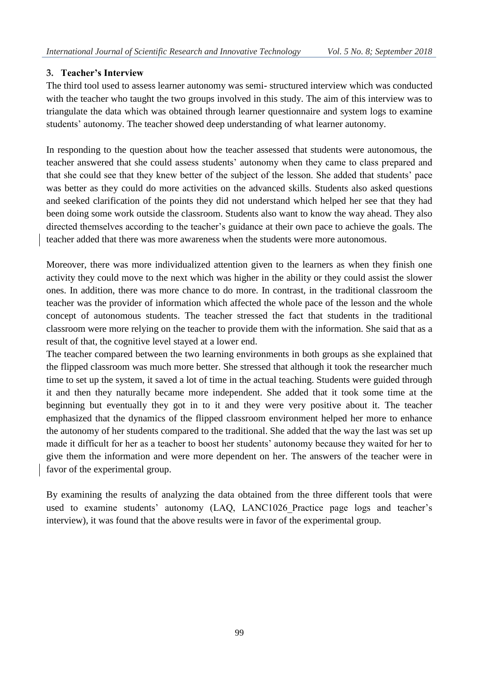# **3. Teacher's Interview**

The third tool used to assess learner autonomy was semi- structured interview which was conducted with the teacher who taught the two groups involved in this study. The aim of this interview was to triangulate the data which was obtained through learner questionnaire and system logs to examine students' autonomy. The teacher showed deep understanding of what learner autonomy.

In responding to the question about how the teacher assessed that students were autonomous, the teacher answered that she could assess students' autonomy when they came to class prepared and that she could see that they knew better of the subject of the lesson. She added that students' pace was better as they could do more activities on the advanced skills. Students also asked questions and seeked clarification of the points they did not understand which helped her see that they had been doing some work outside the classroom. Students also want to know the way ahead. They also directed themselves according to the teacher's guidance at their own pace to achieve the goals. The teacher added that there was more awareness when the students were more autonomous.

Moreover, there was more individualized attention given to the learners as when they finish one activity they could move to the next which was higher in the ability or they could assist the slower ones. In addition, there was more chance to do more. In contrast, in the traditional classroom the teacher was the provider of information which affected the whole pace of the lesson and the whole concept of autonomous students. The teacher stressed the fact that students in the traditional classroom were more relying on the teacher to provide them with the information. She said that as a result of that, the cognitive level stayed at a lower end.

The teacher compared between the two learning environments in both groups as she explained that the flipped classroom was much more better. She stressed that although it took the researcher much time to set up the system, it saved a lot of time in the actual teaching. Students were guided through it and then they naturally became more independent. She added that it took some time at the beginning but eventually they got in to it and they were very positive about it. The teacher emphasized that the dynamics of the flipped classroom environment helped her more to enhance the autonomy of her students compared to the traditional. She added that the way the last was set up made it difficult for her as a teacher to boost her students' autonomy because they waited for her to give them the information and were more dependent on her. The answers of the teacher were in favor of the experimental group.

By examining the results of analyzing the data obtained from the three different tools that were used to examine students' autonomy (LAQ, LANC1026\_Practice page logs and teacher's interview), it was found that the above results were in favor of the experimental group.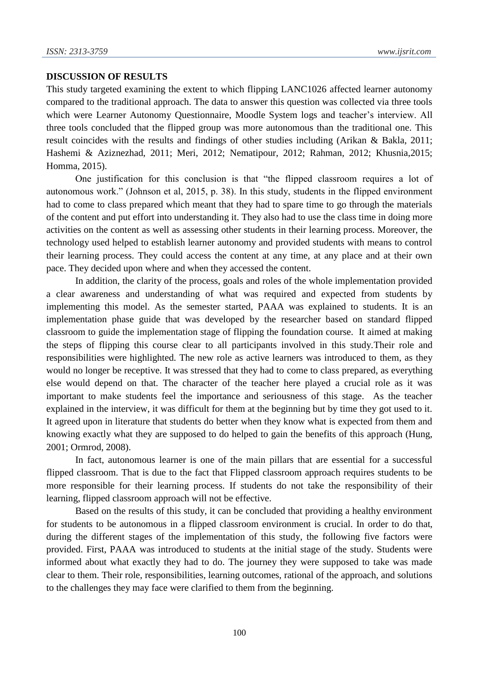# **DISCUSSION OF RESULTS**

This study targeted examining the extent to which flipping LANC1026 affected learner autonomy compared to the traditional approach. The data to answer this question was collected via three tools which were Learner Autonomy Questionnaire, Moodle System logs and teacher's interview. All three tools concluded that the flipped group was more autonomous than the traditional one. This result coincides with the results and findings of other studies including (Arikan & Bakla, 2011; Hashemi & Aziznezhad, 2011; Meri, 2012; Nematipour, 2012; Rahman, 2012; Khusnia,2015; Homma, 2015).

One justification for this conclusion is that "the flipped classroom requires a lot of autonomous work." (Johnson et al, 2015, p. 38). In this study, students in the flipped environment had to come to class prepared which meant that they had to spare time to go through the materials of the content and put effort into understanding it. They also had to use the class time in doing more activities on the content as well as assessing other students in their learning process. Moreover, the technology used helped to establish learner autonomy and provided students with means to control their learning process. They could access the content at any time, at any place and at their own pace. They decided upon where and when they accessed the content.

In addition, the clarity of the process, goals and roles of the whole implementation provided a clear awareness and understanding of what was required and expected from students by implementing this model. As the semester started, PAAA was explained to students. It is an implementation phase guide that was developed by the researcher based on standard flipped classroom to guide the implementation stage of flipping the foundation course. It aimed at making the steps of flipping this course clear to all participants involved in this study.Their role and responsibilities were highlighted. The new role as active learners was introduced to them, as they would no longer be receptive. It was stressed that they had to come to class prepared, as everything else would depend on that. The character of the teacher here played a crucial role as it was important to make students feel the importance and seriousness of this stage. As the teacher explained in the interview, it was difficult for them at the beginning but by time they got used to it. It agreed upon in literature that students do better when they know what is expected from them and knowing exactly what they are supposed to do helped to gain the benefits of this approach (Hung, 2001; Ormrod, 2008).

In fact, autonomous learner is one of the main pillars that are essential for a successful flipped classroom. That is due to the fact that Flipped classroom approach requires students to be more responsible for their learning process. If students do not take the responsibility of their learning, flipped classroom approach will not be effective.

Based on the results of this study, it can be concluded that providing a healthy environment for students to be autonomous in a flipped classroom environment is crucial. In order to do that, during the different stages of the implementation of this study, the following five factors were provided. First, PAAA was introduced to students at the initial stage of the study. Students were informed about what exactly they had to do. The journey they were supposed to take was made clear to them. Their role, responsibilities, learning outcomes, rational of the approach, and solutions to the challenges they may face were clarified to them from the beginning.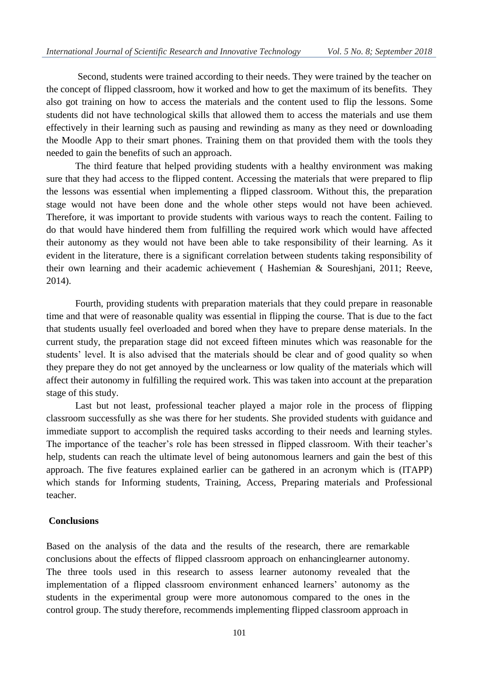Second, students were trained according to their needs. They were trained by the teacher on the concept of flipped classroom, how it worked and how to get the maximum of its benefits. They also got training on how to access the materials and the content used to flip the lessons. Some students did not have technological skills that allowed them to access the materials and use them effectively in their learning such as pausing and rewinding as many as they need or downloading the Moodle App to their smart phones. Training them on that provided them with the tools they needed to gain the benefits of such an approach.

The third feature that helped providing students with a healthy environment was making sure that they had access to the flipped content. Accessing the materials that were prepared to flip the lessons was essential when implementing a flipped classroom. Without this, the preparation stage would not have been done and the whole other steps would not have been achieved. Therefore, it was important to provide students with various ways to reach the content. Failing to do that would have hindered them from fulfilling the required work which would have affected their autonomy as they would not have been able to take responsibility of their learning. As it evident in the literature, there is a significant correlation between students taking responsibility of their own learning and their academic achievement ( Hashemian & Soureshjani, 2011; Reeve, 2014).

Fourth, providing students with preparation materials that they could prepare in reasonable time and that were of reasonable quality was essential in flipping the course. That is due to the fact that students usually feel overloaded and bored when they have to prepare dense materials. In the current study, the preparation stage did not exceed fifteen minutes which was reasonable for the students' level. It is also advised that the materials should be clear and of good quality so when they prepare they do not get annoyed by the unclearness or low quality of the materials which will affect their autonomy in fulfilling the required work. This was taken into account at the preparation stage of this study.

Last but not least, professional teacher played a major role in the process of flipping classroom successfully as she was there for her students. She provided students with guidance and immediate support to accomplish the required tasks according to their needs and learning styles. The importance of the teacher's role has been stressed in flipped classroom. With their teacher's help, students can reach the ultimate level of being autonomous learners and gain the best of this approach. The five features explained earlier can be gathered in an acronym which is (ITAPP) which stands for Informing students, Training, Access, Preparing materials and Professional teacher.

#### **Conclusions**

Based on the analysis of the data and the results of the research, there are remarkable conclusions about the effects of flipped classroom approach on enhancinglearner autonomy. The three tools used in this research to assess learner autonomy revealed that the implementation of a flipped classroom environment enhanced learners' autonomy as the students in the experimental group were more autonomous compared to the ones in the control group. The study therefore, recommends implementing flipped classroom approach in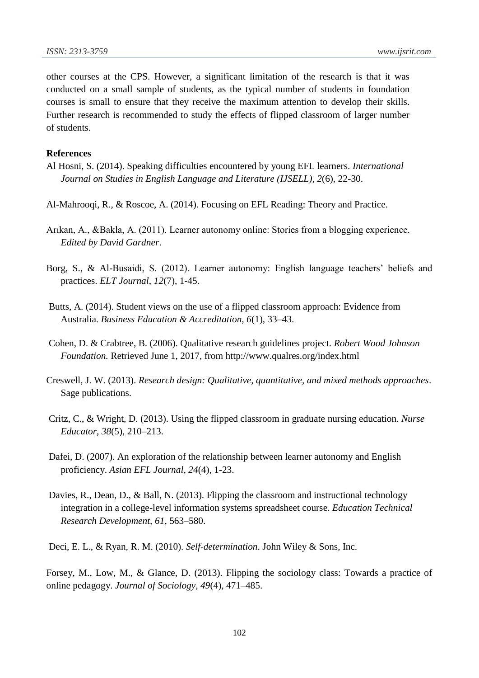other courses at the CPS. However, a significant limitation of the research is that it was conducted on a small sample of students, as the typical number of students in foundation courses is small to ensure that they receive the maximum attention to develop their skills. Further research is recommended to study the effects of flipped classroom of larger number of students.

#### **References**

- Al Hosni, S. (2014). Speaking difficulties encountered by young EFL learners. *International Journal on Studies in English Language and Literature (IJSELL)*, *2*(6), 22-30.
- Al-Mahrooqi, R., & Roscoe, A. (2014). Focusing on EFL Reading: Theory and Practice.
- Arıkan, A., &Bakla, A. (2011). Learner autonomy online: Stories from a blogging experience. *Edited by David Gardner*.
- Borg, S., & Al-Busaidi, S. (2012). Learner autonomy: English language teachers' beliefs and practices. *ELT Journal*, *12*(7), 1-45.
- Butts, A. (2014). Student views on the use of a flipped classroom approach: Evidence from Australia. *Business Education & Accreditation, 6*(1), 33–43.
- Cohen, D. & Crabtree, B. (2006). Qualitative research guidelines project. *Robert Wood Johnson Foundation.* Retrieved June 1, 2017, from http://www.qualres.org/index.html
- Creswell, J. W. (2013). *Research design: Qualitative, quantitative, and mixed methods approaches*. Sage publications.
- Critz, C., & Wright, D. (2013). Using the flipped classroom in graduate nursing education. *Nurse Educator, 38*(5), 210–213.
- Dafei, D. (2007). An exploration of the relationship between learner autonomy and English proficiency. *Asian EFL Journal*, *24*(4), 1-23.
- Davies, R., Dean, D., & Ball, N. (2013). Flipping the classroom and instructional technology integration in a college-level information systems spreadsheet course. *Education Technical Research Development, 61*, 563–580.

Deci, E. L., & Ryan, R. M. (2010). *Self‐determination*. John Wiley & Sons, Inc.

Forsey, M., Low, M., & Glance, D. (2013). Flipping the sociology class: Towards a practice of online pedagogy. *Journal of Sociology, 49*(4), 471–485.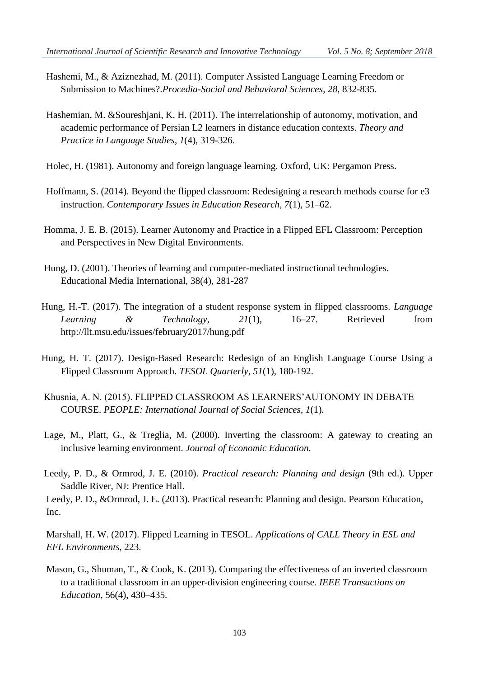- Hashemi, M., & Aziznezhad, M. (2011). Computer Assisted Language Learning Freedom or Submission to Machines?.*Procedia-Social and Behavioral Sciences*, *28*, 832-835.
- Hashemian, M. &Soureshjani, K. H. (2011). The interrelationship of autonomy, motivation, and academic performance of Persian L2 learners in distance education contexts. *Theory and Practice in Language Studies*, *1*(4), 319-326.
- Holec, H. (1981). Autonomy and foreign language learning. Oxford, UK: Pergamon Press.
- Hoffmann, S. (2014). Beyond the flipped classroom: Redesigning a research methods course for e3 instruction. *Contemporary Issues in Education Research, 7*(1), 51–62.
- Homma, J. E. B. (2015). Learner Autonomy and Practice in a Flipped EFL Classroom: Perception and Perspectives in New Digital Environments.
- Hung, D. (2001). Theories of learning and computer-mediated instructional technologies. Educational Media International, 38(4), 281-287
- Hung, H.-T. (2017). The integration of a student response system in flipped classrooms. *Language Learning & Technology*, *21*(1), 16–27. Retrieved from http://llt.msu.edu/issues/february2017/hung.pdf
- Hung, H. T. (2017). Design‐Based Research: Redesign of an English Language Course Using a Flipped Classroom Approach. *TESOL Quarterly*, *51*(1), 180-192.
- Khusnia, A. N. (2015). FLIPPED CLASSROOM AS LEARNERS'AUTONOMY IN DEBATE COURSE. *PEOPLE: International Journal of Social Sciences*, *1*(1).
- Lage, M., Platt, G., & Treglia, M. (2000). Inverting the classroom: A gateway to creating an inclusive learning environment. *Journal of Economic Education.*
- Leedy, P. D., & Ormrod, J. E. (2010). *Practical research: Planning and design* (9th ed.). Upper Saddle River, NJ: Prentice Hall.

Leedy, P. D., &Ormrod, J. E. (2013). Practical research: Planning and design. Pearson Education, Inc.

Marshall, H. W. (2017). Flipped Learning in TESOL. *Applications of CALL Theory in ESL and EFL Environments*, 223.

Mason, G., Shuman, T., & Cook, K. (2013). Comparing the effectiveness of an inverted classroom to a traditional classroom in an upper-division engineering course*. IEEE Transactions on Education,* 56(4), 430–435.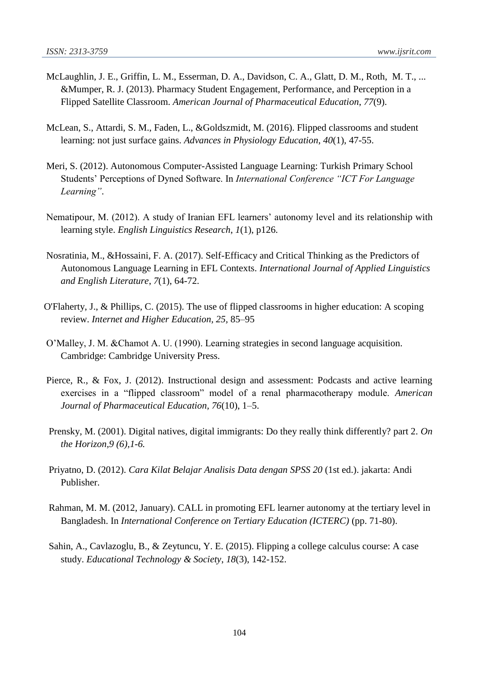- McLaughlin, J. E., Griffin, L. M., Esserman, D. A., Davidson, C. A., Glatt, D. M., Roth, M. T., ... &Mumper, R. J. (2013). Pharmacy Student Engagement, Performance, and Perception in a Flipped Satellite Classroom. *American Journal of Pharmaceutical Education*, *77*(9).
- McLean, S., Attardi, S. M., Faden, L., &Goldszmidt, M. (2016). Flipped classrooms and student learning: not just surface gains. *Advances in Physiology Education*, *40*(1), 47-55.
- Meri, S. (2012). Autonomous Computer-Assisted Language Learning: Turkish Primary School Students' Perceptions of Dyned Software. In *International Conference "ICT For Language Learning"*.
- Nematipour, M. (2012). A study of Iranian EFL learners' autonomy level and its relationship with learning style. *English Linguistics Research*, *1*(1), p126.
- Nosratinia, M., &Hossaini, F. A. (2017). Self-Efficacy and Critical Thinking as the Predictors of Autonomous Language Learning in EFL Contexts. *International Journal of Applied Linguistics and English Literature*, *7*(1), 64-72.
- O'Flaherty, J., & Phillips, C. (2015). The use of flipped classrooms in higher education: A scoping review. *Internet and Higher Education, 25,* 85–95
- O'Malley, J. M. &Chamot A. U. (1990). Learning strategies in second language acquisition. Cambridge: Cambridge University Press.
- Pierce, R., & Fox, J. (2012). Instructional design and assessment: Podcasts and active learning exercises in a "flipped classroom" model of a renal pharmacotherapy module. *American Journal of Pharmaceutical Education, 76*(10), 1–5.
- Prensky, M. (2001). Digital natives, digital immigrants: Do they really think differently? part 2. *On the Horizon,9 (6),1-6.*
- Priyatno, D. (2012). *Cara Kilat Belajar Analisis Data dengan SPSS 20* (1st ed.). jakarta: Andi Publisher.
- Rahman, M. M. (2012, January). CALL in promoting EFL learner autonomy at the tertiary level in Bangladesh. In *International Conference on Tertiary Education (ICTERC)* (pp. 71-80).
- Sahin, A., Cavlazoglu, B., & Zeytuncu, Y. E. (2015). Flipping a college calculus course: A case study. *Educational Technology & Society*, *18*(3), 142-152.